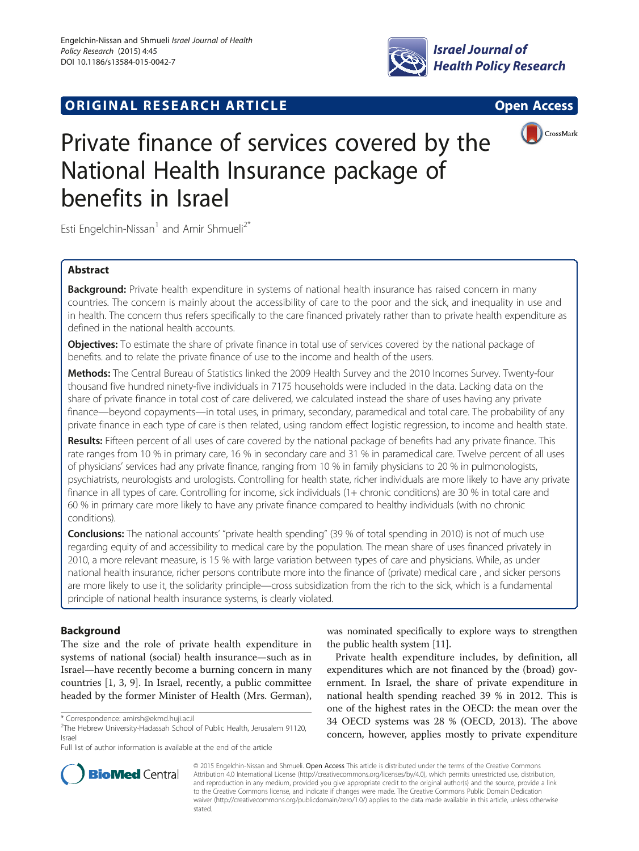

# **ORIGINAL RESEARCH ARTICLE CONSUMING ACCESS**





# Private finance of services covered by the National Health Insurance package of benefits in Israel

Esti Engelchin-Nissan<sup>1</sup> and Amir Shmueli<sup>2\*</sup>

# Abstract

Background: Private health expenditure in systems of national health insurance has raised concern in many countries. The concern is mainly about the accessibility of care to the poor and the sick, and inequality in use and in health. The concern thus refers specifically to the care financed privately rather than to private health expenditure as defined in the national health accounts.

Objectives: To estimate the share of private finance in total use of services covered by the national package of benefits. and to relate the private finance of use to the income and health of the users.

Methods: The Central Bureau of Statistics linked the 2009 Health Survey and the 2010 Incomes Survey. Twenty-four thousand five hundred ninety-five individuals in 7175 households were included in the data. Lacking data on the share of private finance in total cost of care delivered, we calculated instead the share of uses having any private finance—beyond copayments—in total uses, in primary, secondary, paramedical and total care. The probability of any private finance in each type of care is then related, using random effect logistic regression, to income and health state.

Results: Fifteen percent of all uses of care covered by the national package of benefits had any private finance. This rate ranges from 10 % in primary care, 16 % in secondary care and 31 % in paramedical care. Twelve percent of all uses of physicians' services had any private finance, ranging from 10 % in family physicians to 20 % in pulmonologists, psychiatrists, neurologists and urologists. Controlling for health state, richer individuals are more likely to have any private finance in all types of care. Controlling for income, sick individuals (1+ chronic conditions) are 30 % in total care and 60 % in primary care more likely to have any private finance compared to healthy individuals (with no chronic conditions).

Conclusions: The national accounts' "private health spending" (39 % of total spending in 2010) is not of much use regarding equity of and accessibility to medical care by the population. The mean share of uses financed privately in 2010, a more relevant measure, is 15 % with large variation between types of care and physicians. While, as under national health insurance, richer persons contribute more into the finance of (private) medical care , and sicker persons are more likely to use it, the solidarity principle—cross subsidization from the rich to the sick, which is a fundamental principle of national health insurance systems, is clearly violated.

# Background

The size and the role of private health expenditure in systems of national (social) health insurance—such as in Israel—have recently become a burning concern in many countries [[1, 3, 9\]](#page-7-0). In Israel, recently, a public committee headed by the former Minister of Health (Mrs. German),



Private health expenditure includes, by definition, all expenditures which are not financed by the (broad) government. In Israel, the share of private expenditure in national health spending reached 39 % in 2012. This is one of the highest rates in the OECD: the mean over the 34 OECD systems was 28 % (OECD, 2013). The above concern, however, applies mostly to private expenditure



© 2015 Engelchin-Nissan and Shmueli. Open Access This article is distributed under the terms of the Creative Commons Attribution 4.0 International License [\(http://creativecommons.org/licenses/by/4.0](http://creativecommons.org/licenses/by/4.0)), which permits unrestricted use, distribution, and reproduction in any medium, provided you give appropriate credit to the original author(s) and the source, provide a link to the Creative Commons license, and indicate if changes were made. The Creative Commons Public Domain Dedication waiver [\(http://creativecommons.org/publicdomain/zero/1.0/\)](http://creativecommons.org/publicdomain/zero/1.0/) applies to the data made available in this article, unless otherwise stated.

<sup>\*</sup> Correspondence: [amirsh@ekmd.huji.ac.il](mailto:amirsh@ekmd.huji.ac.il) <sup>2</sup>

<sup>&</sup>lt;sup>2</sup>The Hebrew University-Hadassah School of Public Health, Jerusalem 91120, Israel

Full list of author information is available at the end of the article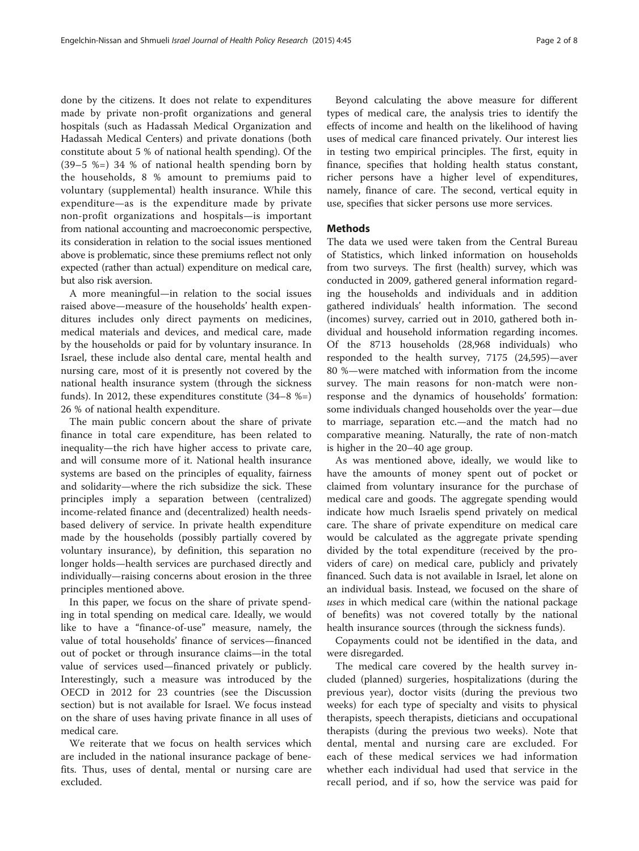done by the citizens. It does not relate to expenditures made by private non-profit organizations and general hospitals (such as Hadassah Medical Organization and Hadassah Medical Centers) and private donations (both constitute about 5 % of national health spending). Of the (39–5 %=) 34 % of national health spending born by the households, 8 % amount to premiums paid to voluntary (supplemental) health insurance. While this expenditure—as is the expenditure made by private non-profit organizations and hospitals—is important from national accounting and macroeconomic perspective, its consideration in relation to the social issues mentioned above is problematic, since these premiums reflect not only expected (rather than actual) expenditure on medical care, but also risk aversion.

A more meaningful—in relation to the social issues raised above—measure of the households' health expenditures includes only direct payments on medicines, medical materials and devices, and medical care, made by the households or paid for by voluntary insurance. In Israel, these include also dental care, mental health and nursing care, most of it is presently not covered by the national health insurance system (through the sickness funds). In 2012, these expenditures constitute (34–8 %=) 26 % of national health expenditure.

The main public concern about the share of private finance in total care expenditure, has been related to inequality—the rich have higher access to private care, and will consume more of it. National health insurance systems are based on the principles of equality, fairness and solidarity—where the rich subsidize the sick. These principles imply a separation between (centralized) income-related finance and (decentralized) health needsbased delivery of service. In private health expenditure made by the households (possibly partially covered by voluntary insurance), by definition, this separation no longer holds—health services are purchased directly and individually—raising concerns about erosion in the three principles mentioned above.

In this paper, we focus on the share of private spending in total spending on medical care. Ideally, we would like to have a "finance-of-use" measure, namely, the value of total households' finance of services—financed out of pocket or through insurance claims—in the total value of services used—financed privately or publicly. Interestingly, such a measure was introduced by the OECD in 2012 for 23 countries (see the [Discussion](#page-3-0) section) but is not available for Israel. We focus instead on the share of uses having private finance in all uses of medical care.

We reiterate that we focus on health services which are included in the national insurance package of benefits. Thus, uses of dental, mental or nursing care are excluded.

Beyond calculating the above measure for different types of medical care, the analysis tries to identify the effects of income and health on the likelihood of having uses of medical care financed privately. Our interest lies in testing two empirical principles. The first, equity in finance, specifies that holding health status constant, richer persons have a higher level of expenditures, namely, finance of care. The second, vertical equity in use, specifies that sicker persons use more services.

## **Methods**

The data we used were taken from the Central Bureau of Statistics, which linked information on households from two surveys. The first (health) survey, which was conducted in 2009, gathered general information regarding the households and individuals and in addition gathered individuals' health information. The second (incomes) survey, carried out in 2010, gathered both individual and household information regarding incomes. Of the 8713 households (28,968 individuals) who responded to the health survey, 7175 (24,595)—aver 80 %—were matched with information from the income survey. The main reasons for non-match were nonresponse and the dynamics of households' formation: some individuals changed households over the year—due to marriage, separation etc.—and the match had no comparative meaning. Naturally, the rate of non-match is higher in the 20–40 age group.

As was mentioned above, ideally, we would like to have the amounts of money spent out of pocket or claimed from voluntary insurance for the purchase of medical care and goods. The aggregate spending would indicate how much Israelis spend privately on medical care. The share of private expenditure on medical care would be calculated as the aggregate private spending divided by the total expenditure (received by the providers of care) on medical care, publicly and privately financed. Such data is not available in Israel, let alone on an individual basis. Instead, we focused on the share of uses in which medical care (within the national package of benefits) was not covered totally by the national health insurance sources (through the sickness funds).

Copayments could not be identified in the data, and were disregarded.

The medical care covered by the health survey included (planned) surgeries, hospitalizations (during the previous year), doctor visits (during the previous two weeks) for each type of specialty and visits to physical therapists, speech therapists, dieticians and occupational therapists (during the previous two weeks). Note that dental, mental and nursing care are excluded. For each of these medical services we had information whether each individual had used that service in the recall period, and if so, how the service was paid for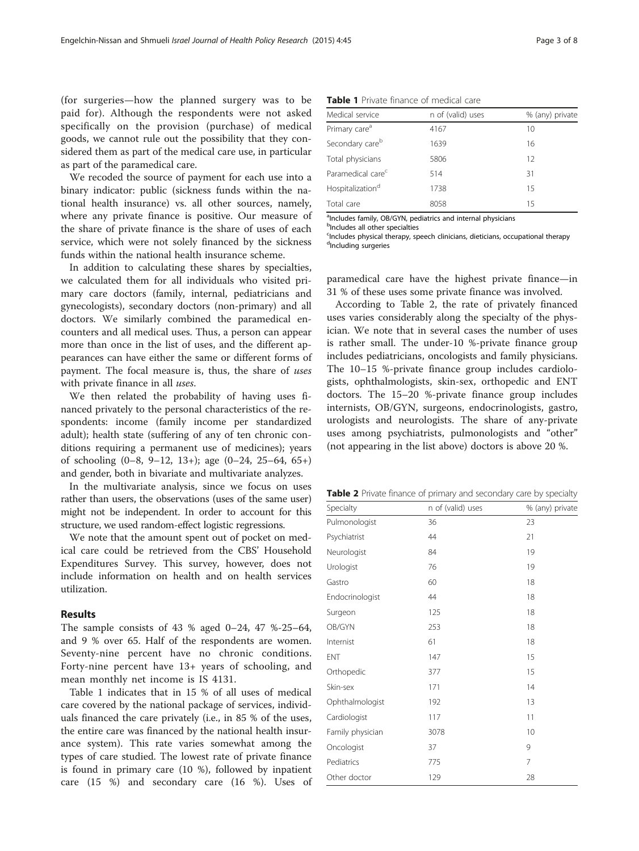(for surgeries—how the planned surgery was to be paid for). Although the respondents were not asked specifically on the provision (purchase) of medical goods, we cannot rule out the possibility that they considered them as part of the medical care use, in particular as part of the paramedical care.

We recoded the source of payment for each use into a binary indicator: public (sickness funds within the national health insurance) vs. all other sources, namely, where any private finance is positive. Our measure of the share of private finance is the share of uses of each service, which were not solely financed by the sickness funds within the national health insurance scheme.

In addition to calculating these shares by specialties, we calculated them for all individuals who visited primary care doctors (family, internal, pediatricians and gynecologists), secondary doctors (non-primary) and all doctors. We similarly combined the paramedical encounters and all medical uses. Thus, a person can appear more than once in the list of uses, and the different appearances can have either the same or different forms of payment. The focal measure is, thus, the share of uses with private finance in all *uses*.

We then related the probability of having uses financed privately to the personal characteristics of the respondents: income (family income per standardized adult); health state (suffering of any of ten chronic conditions requiring a permanent use of medicines); years of schooling (0–8, 9–12, 13+); age (0–24, 25–64, 65+) and gender, both in bivariate and multivariate analyzes.

In the multivariate analysis, since we focus on uses rather than users, the observations (uses of the same user) might not be independent. In order to account for this structure, we used random-effect logistic regressions.

We note that the amount spent out of pocket on medical care could be retrieved from the CBS' Household Expenditures Survey. This survey, however, does not include information on health and on health services utilization.

## Results

The sample consists of 43 % aged 0–24, 47 %-25–64, and 9 % over 65. Half of the respondents are women. Seventy-nine percent have no chronic conditions. Forty-nine percent have 13+ years of schooling, and mean monthly net income is IS 4131.

Table 1 indicates that in 15 % of all uses of medical care covered by the national package of services, individuals financed the care privately (i.e., in 85 % of the uses, the entire care was financed by the national health insurance system). This rate varies somewhat among the types of care studied. The lowest rate of private finance is found in primary care (10 %), followed by inpatient care (15 %) and secondary care (16 %). Uses of

| <b>Table 1</b> Private finance of medical care |
|------------------------------------------------|
|------------------------------------------------|

| Medical service               | n of (valid) uses | % (any) private |  |  |  |
|-------------------------------|-------------------|-----------------|--|--|--|
| Primary care <sup>a</sup>     | 4167              | 10              |  |  |  |
| Secondary care <sup>b</sup>   | 1639              | 16              |  |  |  |
| Total physicians              | 5806              | 12              |  |  |  |
| Paramedical care <sup>c</sup> | 514               | 31              |  |  |  |
| Hospitalization <sup>d</sup>  | 1738              | 15              |  |  |  |
| Total care                    | 8058              | 15              |  |  |  |

aIncludes family, OB/GYN, pediatrics and internal physicians

b<sub>Includes</sub> all other specialties

<sup>c</sup>Includes physical therapy, speech clinicians, dieticians, occupational therapy dIncluding surgeries

paramedical care have the highest private finance—in 31 % of these uses some private finance was involved.

According to Table 2, the rate of privately financed uses varies considerably along the specialty of the physician. We note that in several cases the number of uses is rather small. The under-10 %-private finance group includes pediatricians, oncologists and family physicians. The 10–15 %-private finance group includes cardiologists, ophthalmologists, skin-sex, orthopedic and ENT doctors. The 15–20 %-private finance group includes internists, OB/GYN, surgeons, endocrinologists, gastro, urologists and neurologists. The share of any-private uses among psychiatrists, pulmonologists and "other" (not appearing in the list above) doctors is above 20 %.

Table 2 Private finance of primary and secondary care by specialty

| Specialty        | n of (valid) uses | % (any) private |  |  |  |
|------------------|-------------------|-----------------|--|--|--|
| Pulmonologist    | 36                | 23              |  |  |  |
| Psychiatrist     | 44                | 21              |  |  |  |
| Neurologist      | 84                | 19              |  |  |  |
| Urologist        | 76                | 19              |  |  |  |
| Gastro           | 60                | 18              |  |  |  |
| Endocrinologist  | 44                | 18              |  |  |  |
| Surgeon          | 125               | 18              |  |  |  |
| OB/GYN           | 253               | 18              |  |  |  |
| Internist        | 61                | 18              |  |  |  |
| ENT              | 147               | 15              |  |  |  |
| Orthopedic       | 377               | 15              |  |  |  |
| Skin-sex         | 171               | 14              |  |  |  |
| Ophthalmologist  | 192               | 13              |  |  |  |
| Cardiologist     | 117               | 11              |  |  |  |
| Family physician | 3078              | 10              |  |  |  |
| Oncologist       | 37                | 9               |  |  |  |
| Pediatrics       | 775               | $\overline{7}$  |  |  |  |
| Other doctor     | 129               | 28              |  |  |  |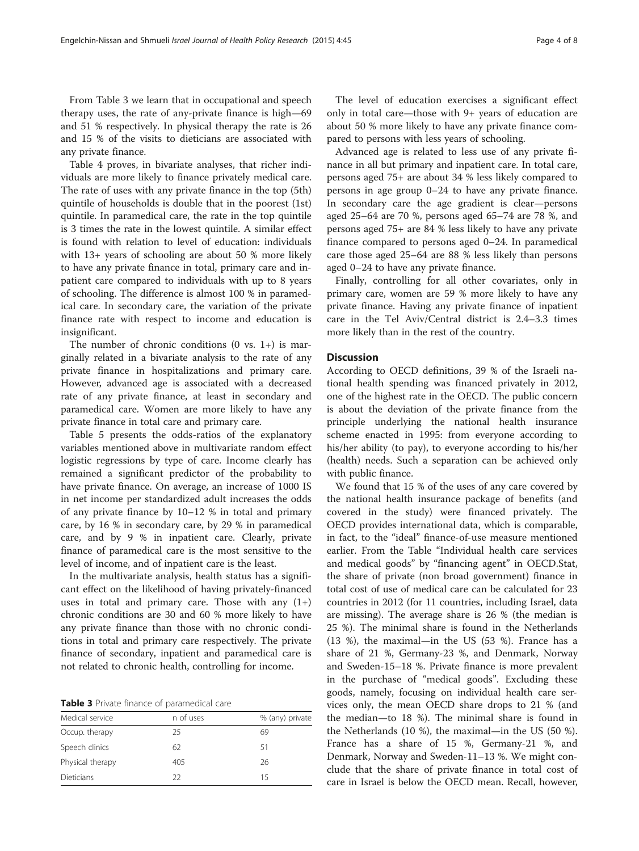<span id="page-3-0"></span>From Table 3 we learn that in occupational and speech therapy uses, the rate of any-private finance is high—69 and 51 % respectively. In physical therapy the rate is 26 and 15 % of the visits to dieticians are associated with any private finance.

Table [4](#page-4-0) proves, in bivariate analyses, that richer individuals are more likely to finance privately medical care. The rate of uses with any private finance in the top (5th) quintile of households is double that in the poorest (1st) quintile. In paramedical care, the rate in the top quintile is 3 times the rate in the lowest quintile. A similar effect is found with relation to level of education: individuals with 13+ years of schooling are about 50 % more likely to have any private finance in total, primary care and inpatient care compared to individuals with up to 8 years of schooling. The difference is almost 100 % in paramedical care. In secondary care, the variation of the private finance rate with respect to income and education is insignificant.

The number of chronic conditions  $(0 \text{ vs. } 1+)$  is marginally related in a bivariate analysis to the rate of any private finance in hospitalizations and primary care. However, advanced age is associated with a decreased rate of any private finance, at least in secondary and paramedical care. Women are more likely to have any private finance in total care and primary care.

Table [5](#page-5-0) presents the odds-ratios of the explanatory variables mentioned above in multivariate random effect logistic regressions by type of care. Income clearly has remained a significant predictor of the probability to have private finance. On average, an increase of 1000 IS in net income per standardized adult increases the odds of any private finance by 10–12 % in total and primary care, by 16 % in secondary care, by 29 % in paramedical care, and by 9 % in inpatient care. Clearly, private finance of paramedical care is the most sensitive to the level of income, and of inpatient care is the least.

In the multivariate analysis, health status has a significant effect on the likelihood of having privately-financed uses in total and primary care. Those with any  $(1+)$ chronic conditions are 30 and 60 % more likely to have any private finance than those with no chronic conditions in total and primary care respectively. The private finance of secondary, inpatient and paramedical care is not related to chronic health, controlling for income.

Table 3 Private finance of paramedical care

| Medical service  | n of uses | % (any) private |
|------------------|-----------|-----------------|
| Occup. therapy   | 25.       | 69              |
| Speech clinics   | 62        | 51              |
| Physical therapy | 405       | 26              |
| Dieticians       | フフ        | 15              |

The level of education exercises a significant effect only in total care—those with 9+ years of education are about 50 % more likely to have any private finance compared to persons with less years of schooling.

Advanced age is related to less use of any private finance in all but primary and inpatient care. In total care, persons aged 75+ are about 34 % less likely compared to persons in age group 0–24 to have any private finance. In secondary care the age gradient is clear—persons aged 25–64 are 70 %, persons aged 65–74 are 78 %, and persons aged 75+ are 84 % less likely to have any private finance compared to persons aged 0–24. In paramedical care those aged 25–64 are 88 % less likely than persons aged 0–24 to have any private finance.

Finally, controlling for all other covariates, only in primary care, women are 59 % more likely to have any private finance. Having any private finance of inpatient care in the Tel Aviv/Central district is 2.4–3.3 times more likely than in the rest of the country.

### **Discussion**

According to OECD definitions, 39 % of the Israeli national health spending was financed privately in 2012, one of the highest rate in the OECD. The public concern is about the deviation of the private finance from the principle underlying the national health insurance scheme enacted in 1995: from everyone according to his/her ability (to pay), to everyone according to his/her (health) needs. Such a separation can be achieved only with public finance.

We found that 15 % of the uses of any care covered by the national health insurance package of benefits (and covered in the study) were financed privately. The OECD provides international data, which is comparable, in fact, to the "ideal" finance-of-use measure mentioned earlier. From the Table "Individual health care services and medical goods" by "financing agent" in OECD.Stat, the share of private (non broad government) finance in total cost of use of medical care can be calculated for 23 countries in 2012 (for 11 countries, including Israel, data are missing). The average share is 26 % (the median is 25 %). The minimal share is found in the Netherlands (13 %), the maximal—in the US (53 %). France has a share of 21 %, Germany-23 %, and Denmark, Norway and Sweden-15–18 %. Private finance is more prevalent in the purchase of "medical goods". Excluding these goods, namely, focusing on individual health care services only, the mean OECD share drops to 21 % (and the median—to 18 %). The minimal share is found in the Netherlands (10 %), the maximal—in the US (50 %). France has a share of 15 %, Germany-21 %, and Denmark, Norway and Sweden-11–13 %. We might conclude that the share of private finance in total cost of care in Israel is below the OECD mean. Recall, however,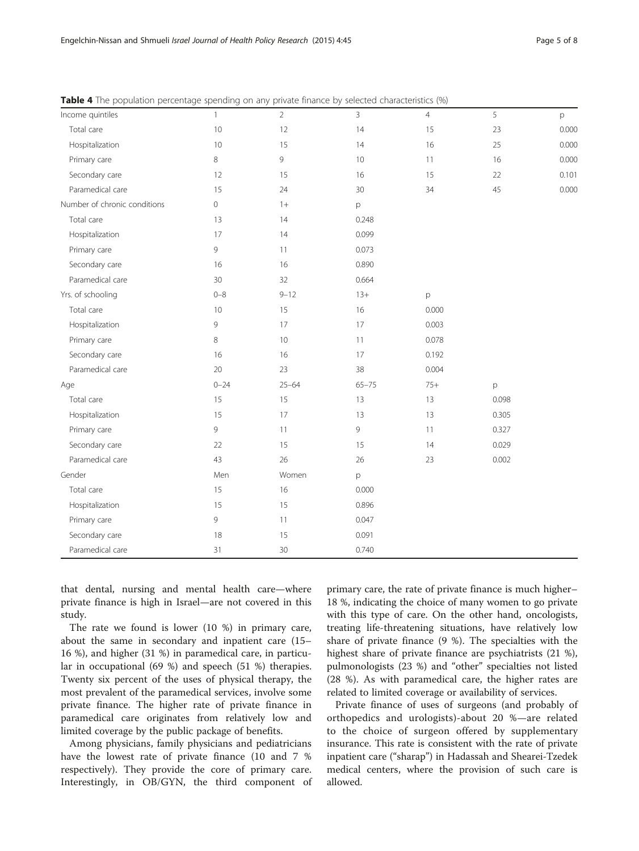| Income quintiles             | $\mathbf{1}$        | $\overline{2}$ | $\overline{3}$ | $\overline{4}$ | 5     | p     |
|------------------------------|---------------------|----------------|----------------|----------------|-------|-------|
| Total care                   | 10                  | 12             | 14             | 15             | 23    | 0.000 |
| Hospitalization              | 10                  | 15             | 14             | 16             | 25    | 0.000 |
| Primary care                 | 8                   | 9              | 10             | 11             | 16    | 0.000 |
| Secondary care               | 12                  | 15             | 16             | 15             | 22    | 0.101 |
| Paramedical care             | 15                  | 24             | 30             | 34             | 45    | 0.000 |
| Number of chronic conditions | $\mathsf{O}\xspace$ | $1+$           | p              |                |       |       |
| Total care                   | 13                  | 14             | 0.248          |                |       |       |
| Hospitalization              | 17                  | 14             | 0.099          |                |       |       |
| Primary care                 | 9                   | 11             | 0.073          |                |       |       |
| Secondary care               | 16                  | 16             | 0.890          |                |       |       |
| Paramedical care             | 30                  | 32             | 0.664          |                |       |       |
| Yrs. of schooling            | $0 - 8$             | $9 - 12$       | $13+$          | p              |       |       |
| Total care                   | 10                  | 15             | 16             | 0.000          |       |       |
| Hospitalization              | 9                   | 17             | 17             | 0.003          |       |       |
| Primary care                 | $\,8\,$             | 10             | 11             | 0.078          |       |       |
| Secondary care               | 16                  | 16             | 17             | 0.192          |       |       |
| Paramedical care             | $20\,$              | 23             | 38             | 0.004          |       |       |
| Age                          | $0 - 24$            | $25 - 64$      | $65 - 75$      | $75+$          | p     |       |
| Total care                   | 15                  | 15             | 13             | 13             | 0.098 |       |
| Hospitalization              | 15                  | 17             | 13             | 13             | 0.305 |       |
| Primary care                 | $\mathsf 9$         | 11             | 9              | 11             | 0.327 |       |
| Secondary care               | 22                  | 15             | 15             | 14             | 0.029 |       |
| Paramedical care             | 43                  | 26             | 26             | 23             | 0.002 |       |
| Gender                       | Men                 | Women          | p              |                |       |       |
| Total care                   | 15                  | 16             | 0.000          |                |       |       |
| Hospitalization              | 15                  | 15             | 0.896          |                |       |       |
| Primary care                 | 9                   | 11             | 0.047          |                |       |       |
| Secondary care               | 18                  | 15             | 0.091          |                |       |       |
| Paramedical care             | 31                  | 30             | 0.740          |                |       |       |

<span id="page-4-0"></span>**Table 4** The population percentage spending on any private finance by selected characteristics (%)

that dental, nursing and mental health care—where private finance is high in Israel—are not covered in this study.

The rate we found is lower (10 %) in primary care, about the same in secondary and inpatient care (15– 16 %), and higher (31 %) in paramedical care, in particular in occupational (69 %) and speech (51 %) therapies. Twenty six percent of the uses of physical therapy, the most prevalent of the paramedical services, involve some private finance. The higher rate of private finance in paramedical care originates from relatively low and limited coverage by the public package of benefits.

Among physicians, family physicians and pediatricians have the lowest rate of private finance (10 and 7 % respectively). They provide the core of primary care. Interestingly, in OB/GYN, the third component of

primary care, the rate of private finance is much higher– 18 %, indicating the choice of many women to go private with this type of care. On the other hand, oncologists, treating life-threatening situations, have relatively low share of private finance (9 %). The specialties with the highest share of private finance are psychiatrists (21 %), pulmonologists (23 %) and "other" specialties not listed (28 %). As with paramedical care, the higher rates are related to limited coverage or availability of services.

Private finance of uses of surgeons (and probably of orthopedics and urologists)-about 20 %—are related to the choice of surgeon offered by supplementary insurance. This rate is consistent with the rate of private inpatient care ("sharap") in Hadassah and Shearei-Tzedek medical centers, where the provision of such care is allowed.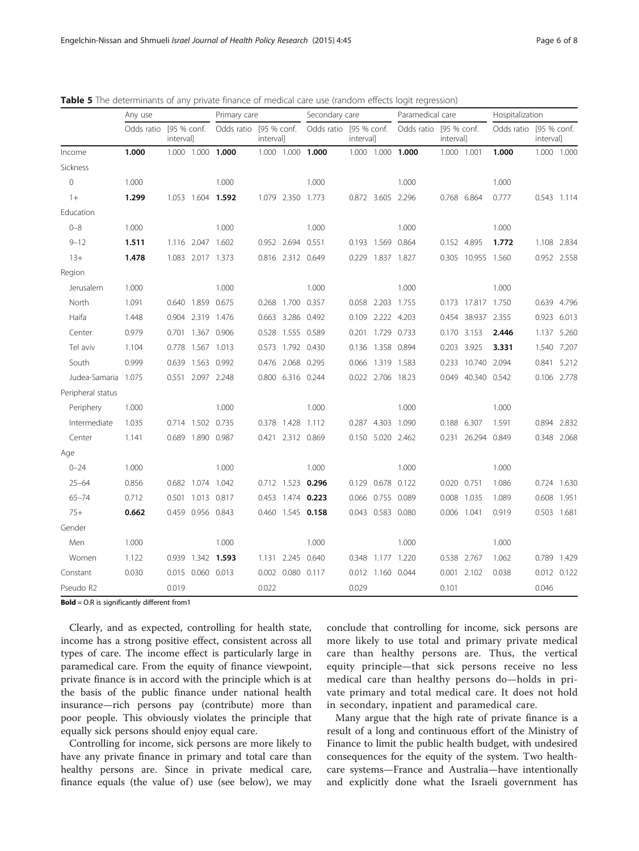|                     | Any use    |                          |                   |                        | Secondary care<br>Primary care |                   |                        | Paramedical care |                   |                        |          |                    | Hospitalization        |           |             |
|---------------------|------------|--------------------------|-------------------|------------------------|--------------------------------|-------------------|------------------------|------------------|-------------------|------------------------|----------|--------------------|------------------------|-----------|-------------|
|                     | Odds ratio | [95 % conf.<br>intervall |                   | Odds ratio [95 % conf. | interval                       |                   | Odds ratio [95 % conf. | interval         |                   | Odds ratio [95 % conf. | interval |                    | Odds ratio [95 % conf. | intervall |             |
| Income              | 1.000      |                          |                   | 1.000 1.000 1.000      |                                |                   | 1.000 1.000 1.000      |                  |                   | 1.000 1.000 1.000      |          | 1.000 1.001        | 1.000                  |           | 1.000 1.000 |
| Sickness            |            |                          |                   |                        |                                |                   |                        |                  |                   |                        |          |                    |                        |           |             |
| $\overline{0}$      | 1.000      |                          |                   | 1.000                  |                                |                   | 1.000                  |                  |                   | 1.000                  |          |                    | 1.000                  |           |             |
| $1+$                | 1.299      |                          |                   | 1.053 1.604 1.592      |                                | 1.079 2.350 1.773 |                        |                  | 0.872 3.605 2.296 |                        |          | 0.768 6.864        | 0.777                  |           | 0.543 1.114 |
| Education           |            |                          |                   |                        |                                |                   |                        |                  |                   |                        |          |                    |                        |           |             |
| $0 - 8$             | 1.000      |                          |                   | 1.000                  |                                |                   | 1.000                  |                  |                   | 1.000                  |          |                    | 1.000                  |           |             |
| $9 - 12$            | 1.511      |                          | 1.116 2.047 1.602 |                        |                                | 0.952 2.694 0.551 |                        |                  | 0.193 1.569       | 0.864                  |          | 0.152 4.895        | 1.772                  |           | 1.108 2.834 |
| $13+$               | 1.478      |                          | 1.083 2.017 1.373 |                        |                                | 0.816 2.312 0.649 |                        |                  | 0.229 1.837 1.827 |                        |          | 0.305 10.955 1.560 |                        |           | 0.952 2.558 |
| Region              |            |                          |                   |                        |                                |                   |                        |                  |                   |                        |          |                    |                        |           |             |
| Jerusalem           | 1.000      |                          |                   | 1.000                  |                                |                   | 1.000                  |                  |                   | 1.000                  |          |                    | 1.000                  |           |             |
| North               | 1.091      |                          | 0.640 1.859 0.675 |                        |                                | 0.268 1.700 0.357 |                        |                  | 0.058 2.203 1.755 |                        |          | 0.173 17.817 1.750 |                        |           | 0.639 4.796 |
| Haifa               | 1.448      |                          | 0.904 2.319 1.476 |                        |                                | 0.663 3.286 0.492 |                        |                  | 0.109 2.222 4.203 |                        | 0.454    | 38.937 2.355       |                        |           | 0.923 6.013 |
| Center              | 0.979      |                          | 0.701 1.367 0.906 |                        |                                | 0.528 1.555 0.589 |                        |                  | 0.201 1.729 0.733 |                        |          | 0.170 3.153        | 2.446                  |           | 1.137 5.260 |
| Tel aviv            | 1.104      |                          | 0.778 1.567 1.013 |                        |                                | 0.573 1.792 0.430 |                        |                  | 0.136 1.358 0.894 |                        | 0.203    | 3.925              | 3.331                  |           | 1.540 7.207 |
| South               | 0.999      |                          | 0.639 1.563 0.992 |                        |                                | 0.476 2.068 0.295 |                        |                  | 0.066 1.319 1.583 |                        | 0.233    | 10.740 2.094       |                        | 0.841     | 5.212       |
| Judea-Samaria 1.075 |            |                          | 0.551 2.097 2.248 |                        |                                | 0.800 6.316 0.244 |                        |                  | 0.022 2.706 18.23 |                        |          | 0.049 40.340 0.542 |                        |           | 0.106 2.778 |
| Peripheral status   |            |                          |                   |                        |                                |                   |                        |                  |                   |                        |          |                    |                        |           |             |
| Periphery           | 1.000      |                          |                   | 1.000                  |                                |                   | 1.000                  |                  |                   | 1.000                  |          |                    | 1.000                  |           |             |
| Intermediate        | 1.035      |                          | 0.714 1.502 0.735 |                        |                                | 0.378 1.428 1.112 |                        |                  | 0.287 4.303 1.090 |                        |          | 0.188 6.307        | 1.591                  |           | 0.894 2.832 |
| Center              | 1.141      |                          | 0.689 1.890 0.987 |                        |                                | 0.421 2.312 0.869 |                        |                  | 0.150 5.020 2.462 |                        |          | 0.231 26.294 0.849 |                        |           | 0.348 2.068 |
| Age                 |            |                          |                   |                        |                                |                   |                        |                  |                   |                        |          |                    |                        |           |             |
| $0 - 24$            | 1.000      |                          |                   | 1.000                  |                                |                   | 1.000                  |                  |                   | 1.000                  |          |                    | 1.000                  |           |             |
| $25 - 64$           | 0.856      |                          | 0.682 1.074 1.042 |                        |                                |                   | 0.712 1.523 0.296      |                  | 0.129 0.678 0.122 |                        |          | 0.020 0.751        | 1.086                  |           | 0.724 1.630 |
| $65 - 74$           | 0.712      |                          | 0.501 1.013 0.817 |                        |                                |                   | 0.453 1.474 0.223      |                  | 0.066 0.755 0.089 |                        | 0.008    | 1.035              | 1.089                  | 0.608     | 1.951       |
| $75+$               | 0.662      |                          | 0.459 0.956 0.843 |                        |                                |                   | 0.460 1.545 0.158      |                  | 0.043 0.583 0.080 |                        |          | 0.006 1.041        | 0.919                  |           | 0.503 1.681 |
| Gender              |            |                          |                   |                        |                                |                   |                        |                  |                   |                        |          |                    |                        |           |             |
| Men                 | 1.000      |                          |                   | 1.000                  |                                |                   | 1.000                  |                  |                   | 1.000                  |          |                    | 1.000                  |           |             |
| Women               | 1.122      |                          |                   | 0.939 1.342 1.593      |                                | 1.131 2.245 0.640 |                        |                  | 0.348 1.177 1.220 |                        |          | 0.538 2.767        | 1.062                  |           | 0.789 1.429 |
| Constant            | 0.030      |                          | 0.015 0.060 0.013 |                        |                                | 0.002 0.080 0.117 |                        |                  | 0.012 1.160 0.044 |                        |          | 0.001 2.102        | 0.038                  |           | 0.012 0.122 |
| Pseudo R2           |            | 0.019                    |                   |                        | 0.022                          |                   |                        | 0.029            |                   |                        | 0.101    |                    |                        | 0.046     |             |

<span id="page-5-0"></span>

|  |  |  | <b>Table 5</b> The determinants of any private finance of medical care use (random effects logit regression) |  |  |  |  |  |  |  |  |
|--|--|--|--------------------------------------------------------------------------------------------------------------|--|--|--|--|--|--|--|--|
|--|--|--|--------------------------------------------------------------------------------------------------------------|--|--|--|--|--|--|--|--|

Bold = O.R is significantly different from1

Clearly, and as expected, controlling for health state, income has a strong positive effect, consistent across all types of care. The income effect is particularly large in paramedical care. From the equity of finance viewpoint, private finance is in accord with the principle which is at the basis of the public finance under national health insurance—rich persons pay (contribute) more than poor people. This obviously violates the principle that equally sick persons should enjoy equal care.

Controlling for income, sick persons are more likely to have any private finance in primary and total care than healthy persons are. Since in private medical care, finance equals (the value of) use (see below), we may conclude that controlling for income, sick persons are more likely to use total and primary private medical care than healthy persons are. Thus, the vertical equity principle—that sick persons receive no less medical care than healthy persons do—holds in private primary and total medical care. It does not hold in secondary, inpatient and paramedical care.

Many argue that the high rate of private finance is a result of a long and continuous effort of the Ministry of Finance to limit the public health budget, with undesired consequences for the equity of the system. Two healthcare systems—France and Australia—have intentionally and explicitly done what the Israeli government has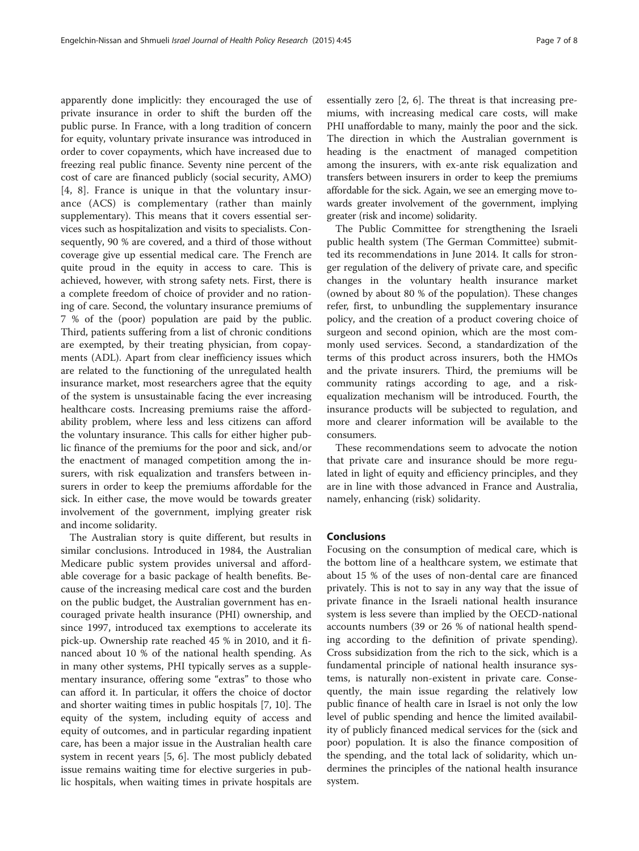apparently done implicitly: they encouraged the use of private insurance in order to shift the burden off the public purse. In France, with a long tradition of concern for equity, voluntary private insurance was introduced in order to cover copayments, which have increased due to freezing real public finance. Seventy nine percent of the cost of care are financed publicly (social security, AMO) [[4](#page-7-0), [8](#page-7-0)]. France is unique in that the voluntary insurance (ACS) is complementary (rather than mainly supplementary). This means that it covers essential services such as hospitalization and visits to specialists. Consequently, 90 % are covered, and a third of those without coverage give up essential medical care. The French are quite proud in the equity in access to care. This is achieved, however, with strong safety nets. First, there is a complete freedom of choice of provider and no rationing of care. Second, the voluntary insurance premiums of 7 % of the (poor) population are paid by the public. Third, patients suffering from a list of chronic conditions are exempted, by their treating physician, from copayments (ADL). Apart from clear inefficiency issues which are related to the functioning of the unregulated health insurance market, most researchers agree that the equity of the system is unsustainable facing the ever increasing healthcare costs. Increasing premiums raise the affordability problem, where less and less citizens can afford the voluntary insurance. This calls for either higher public finance of the premiums for the poor and sick, and/or the enactment of managed competition among the insurers, with risk equalization and transfers between insurers in order to keep the premiums affordable for the sick. In either case, the move would be towards greater involvement of the government, implying greater risk and income solidarity.

The Australian story is quite different, but results in similar conclusions. Introduced in 1984, the Australian Medicare public system provides universal and affordable coverage for a basic package of health benefits. Because of the increasing medical care cost and the burden on the public budget, the Australian government has encouraged private health insurance (PHI) ownership, and since 1997, introduced tax exemptions to accelerate its pick-up. Ownership rate reached 45 % in 2010, and it financed about 10 % of the national health spending. As in many other systems, PHI typically serves as a supplementary insurance, offering some "extras" to those who can afford it. In particular, it offers the choice of doctor and shorter waiting times in public hospitals [\[7, 10\]](#page-7-0). The equity of the system, including equity of access and equity of outcomes, and in particular regarding inpatient care, has been a major issue in the Australian health care system in recent years [[5](#page-7-0), [6](#page-7-0)]. The most publicly debated issue remains waiting time for elective surgeries in public hospitals, when waiting times in private hospitals are essentially zero [\[2](#page-7-0), [6\]](#page-7-0). The threat is that increasing premiums, with increasing medical care costs, will make PHI unaffordable to many, mainly the poor and the sick. The direction in which the Australian government is heading is the enactment of managed competition among the insurers, with ex-ante risk equalization and transfers between insurers in order to keep the premiums affordable for the sick. Again, we see an emerging move towards greater involvement of the government, implying greater (risk and income) solidarity.

The Public Committee for strengthening the Israeli public health system (The German Committee) submitted its recommendations in June 2014. It calls for stronger regulation of the delivery of private care, and specific changes in the voluntary health insurance market (owned by about 80 % of the population). These changes refer, first, to unbundling the supplementary insurance policy, and the creation of a product covering choice of surgeon and second opinion, which are the most commonly used services. Second, a standardization of the terms of this product across insurers, both the HMOs and the private insurers. Third, the premiums will be community ratings according to age, and a riskequalization mechanism will be introduced. Fourth, the insurance products will be subjected to regulation, and more and clearer information will be available to the consumers.

These recommendations seem to advocate the notion that private care and insurance should be more regulated in light of equity and efficiency principles, and they are in line with those advanced in France and Australia, namely, enhancing (risk) solidarity.

# Conclusions

Focusing on the consumption of medical care, which is the bottom line of a healthcare system, we estimate that about 15 % of the uses of non-dental care are financed privately. This is not to say in any way that the issue of private finance in the Israeli national health insurance system is less severe than implied by the OECD-national accounts numbers (39 or 26 % of national health spending according to the definition of private spending). Cross subsidization from the rich to the sick, which is a fundamental principle of national health insurance systems, is naturally non-existent in private care. Consequently, the main issue regarding the relatively low public finance of health care in Israel is not only the low level of public spending and hence the limited availability of publicly financed medical services for the (sick and poor) population. It is also the finance composition of the spending, and the total lack of solidarity, which undermines the principles of the national health insurance system.